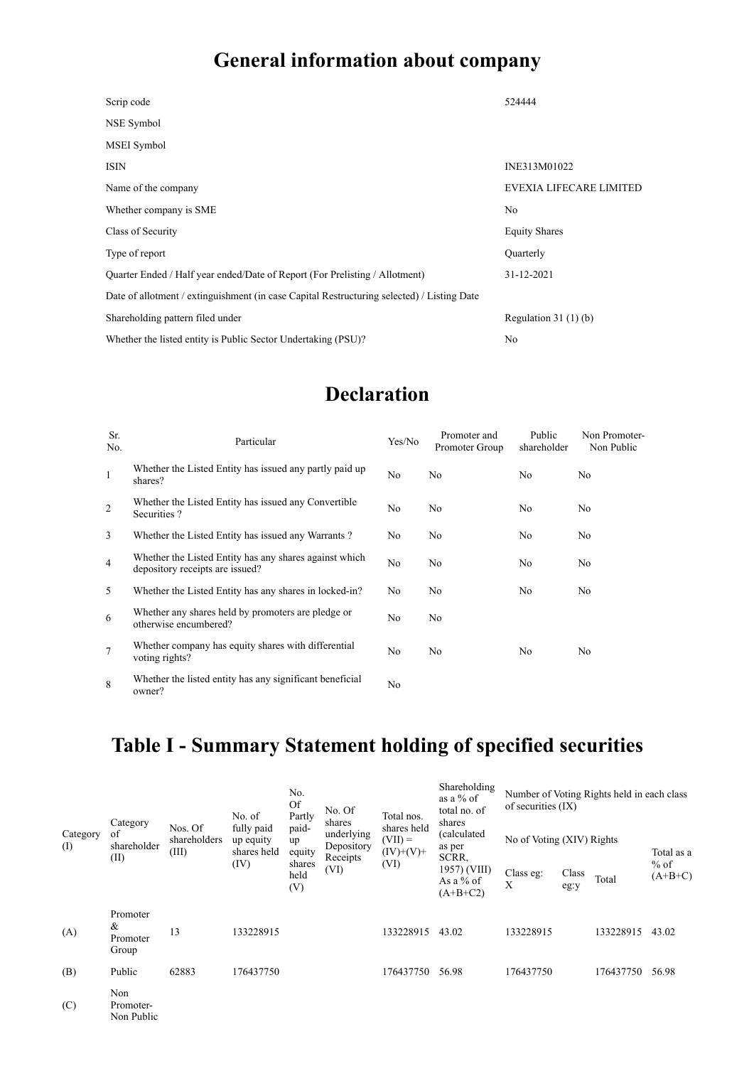## **General information about company**

| Scrip code                                                                                 | 524444                  |
|--------------------------------------------------------------------------------------------|-------------------------|
| NSE Symbol                                                                                 |                         |
| MSEI Symbol                                                                                |                         |
| <b>ISIN</b>                                                                                | INE313M01022            |
| Name of the company                                                                        | EVEXIA LIFECARE LIMITED |
| Whether company is SME                                                                     | No                      |
| Class of Security                                                                          | <b>Equity Shares</b>    |
| Type of report                                                                             | Quarterly               |
| Quarter Ended / Half year ended/Date of Report (For Prelisting / Allotment)                | 31-12-2021              |
| Date of allotment / extinguishment (in case Capital Restructuring selected) / Listing Date |                         |
| Shareholding pattern filed under                                                           | Regulation $31(1)(b)$   |
| Whether the listed entity is Public Sector Undertaking (PSU)?                              | No                      |

### **Declaration**

| Sr.<br>No.      | Particular                                                                                | Yes/No | Promoter and<br>Promoter Group | Public<br>shareholder | Non Promoter-<br>Non Public |
|-----------------|-------------------------------------------------------------------------------------------|--------|--------------------------------|-----------------------|-----------------------------|
| 1               | Whether the Listed Entity has issued any partly paid up<br>shares?                        | No     | No                             | No.                   | No                          |
| 2               | Whether the Listed Entity has issued any Convertible<br>Securities?                       | No     | No                             | No                    | No                          |
| 3               | Whether the Listed Entity has issued any Warrants?                                        | No     | No                             | No                    | No                          |
| $\overline{4}$  | Whether the Listed Entity has any shares against which<br>depository receipts are issued? | No     | No                             | No                    | No                          |
| 5               | Whether the Listed Entity has any shares in locked-in?                                    | No     | No                             | No                    | No                          |
| 6               | Whether any shares held by promoters are pledge or<br>otherwise encumbered?               | No     | No                             |                       |                             |
| $7\phantom{.0}$ | Whether company has equity shares with differential<br>voting rights?                     | No     | No                             | No                    | No                          |
| 8               | Whether the listed entity has any significant beneficial<br>owner?                        | No     |                                |                       |                             |

## **Table I - Summary Statement holding of specified securities**

|                 | Category                           | Nos. Of<br>shareholders<br>(III) | No. of<br>fully paid<br>up equity<br>shares held<br>(IV) | No.<br><b>Of</b><br>Partly                     | No. Of<br>shares                             | Total nos.                              | Shareholding<br>as a $%$ of<br>total no. of<br>shares | of securities $(IX)$      |               | Number of Voting Rights held in each class |                     |
|-----------------|------------------------------------|----------------------------------|----------------------------------------------------------|------------------------------------------------|----------------------------------------------|-----------------------------------------|-------------------------------------------------------|---------------------------|---------------|--------------------------------------------|---------------------|
| Category<br>(I) | of<br>shareholder<br>(II)          |                                  |                                                          | paid-<br>up<br>equity<br>shares<br>held<br>(V) | underlying<br>Depository<br>Receipts<br>(VI) | shares held<br>$(VII) =$<br>$(IV)+(V)+$ | (calculated<br>as per<br>SCRR.                        | No of Voting (XIV) Rights |               |                                            | Total as a          |
|                 |                                    |                                  |                                                          |                                                |                                              | (VI)                                    | 1957) (VIII)<br>As a % of<br>$(A+B+C2)$               | Class eg:<br>X            | Class<br>eg:y | Total                                      | $%$ of<br>$(A+B+C)$ |
| (A)             | Promoter<br>&<br>Promoter<br>Group | 13                               | 133228915                                                |                                                |                                              | 133228915                               | 43.02                                                 | 133228915                 |               | 133228915                                  | 43.02               |
| (B)             | Public                             | 62883                            | 176437750                                                |                                                |                                              | 176437750                               | 56.98                                                 | 176437750                 |               | 176437750                                  | 56.98               |
| (C)             | Non<br>Promoter-<br>Non Public     |                                  |                                                          |                                                |                                              |                                         |                                                       |                           |               |                                            |                     |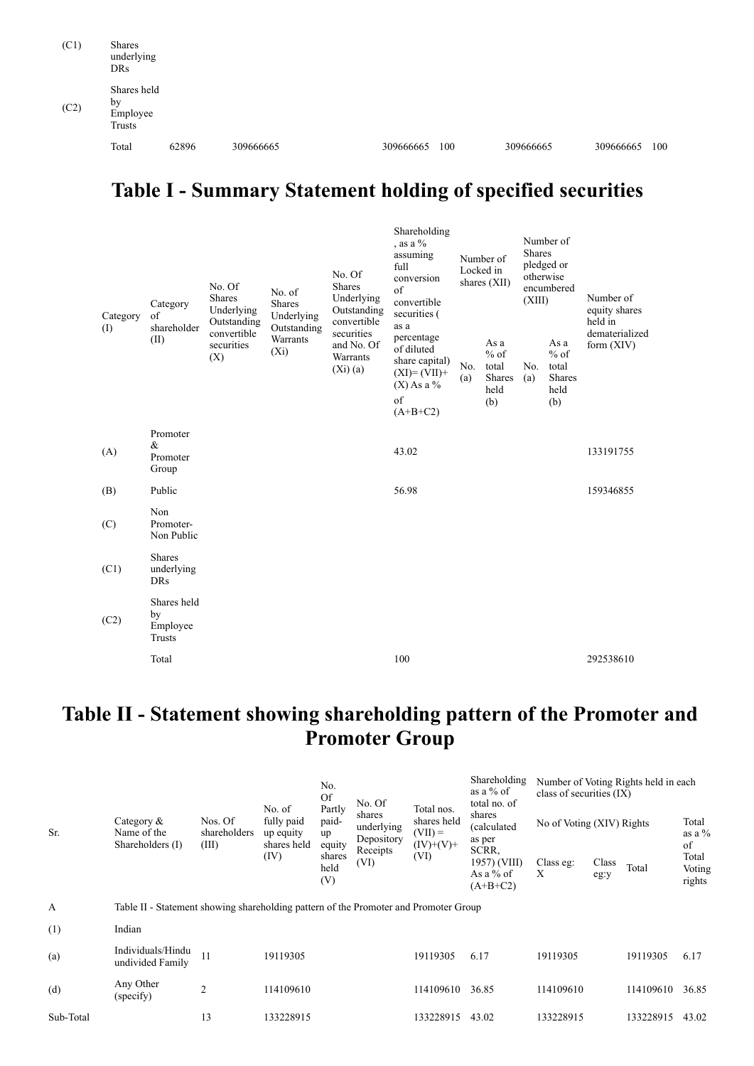| (C1) | Shares<br>underlying<br><b>DRs</b>      |       |           |           |     |           |           |     |
|------|-----------------------------------------|-------|-----------|-----------|-----|-----------|-----------|-----|
| (C2) | Shares held<br>by<br>Employee<br>Trusts |       |           |           |     |           |           |     |
|      | Total                                   | 62896 | 309666665 | 309666665 | 100 | 309666665 | 309666665 | 100 |

### **Table I - Summary Statement holding of specified securities**

| Category<br>(I) | Category<br>of<br>shareholder             | No. Of<br><b>Shares</b><br>Underlying<br>Outstanding | No. of<br>Shares<br>Underlying     | No. Of<br>Shares<br>Underlying<br>Outstanding<br>convertible | Shareholding<br>, as a $\%$<br>assuming<br>full<br>conversion<br>of<br>convertible<br>securities (<br>as a | Number of<br>Locked in<br>shares $(XII)$ |                                                  | Number of<br><b>Shares</b><br>pledged or<br>otherwise<br>encumbered<br>(XIII) |                                                  | Number of<br>equity shares<br>held in |  |
|-----------------|-------------------------------------------|------------------------------------------------------|------------------------------------|--------------------------------------------------------------|------------------------------------------------------------------------------------------------------------|------------------------------------------|--------------------------------------------------|-------------------------------------------------------------------------------|--------------------------------------------------|---------------------------------------|--|
|                 | (II)                                      | convertible<br>securities<br>(X)                     | Outstanding<br>Warrants<br>$(X_i)$ | securities<br>and No. Of<br>Warrants<br>$(Xi)$ (a)           | percentage<br>of diluted<br>share capital)<br>$(XI)=(VII)+$<br>$(X)$ As a %<br>of<br>$(A+B+C2)$            | No.<br>(a)                               | As a<br>$%$ of<br>total<br>Shares<br>held<br>(b) | No.<br>(a)                                                                    | As a<br>$%$ of<br>total<br>Shares<br>held<br>(b) | dematerialized<br>form $(XIV)$        |  |
| (A)             | Promoter<br>&<br>Promoter<br>Group        |                                                      |                                    |                                                              | 43.02                                                                                                      |                                          |                                                  |                                                                               |                                                  | 133191755                             |  |
| (B)             | Public                                    |                                                      |                                    |                                                              | 56.98                                                                                                      |                                          |                                                  |                                                                               |                                                  | 159346855                             |  |
| (C)             | Non<br>Promoter-<br>Non Public            |                                                      |                                    |                                                              |                                                                                                            |                                          |                                                  |                                                                               |                                                  |                                       |  |
| (C1)            | <b>Shares</b><br>underlying<br><b>DRs</b> |                                                      |                                    |                                                              |                                                                                                            |                                          |                                                  |                                                                               |                                                  |                                       |  |
| (C2)            | Shares held<br>by<br>Employee<br>Trusts   |                                                      |                                    |                                                              |                                                                                                            |                                          |                                                  |                                                                               |                                                  |                                       |  |
|                 | Total                                     |                                                      |                                    |                                                              | 100                                                                                                        |                                          |                                                  |                                                                               |                                                  | 292538610                             |  |

#### **Table II - Statement showing shareholding pattern of the Promoter and Promoter Group**

| Sr.       | Category $\&$<br>Name of the<br>Shareholders (I)                                     | Nos. Of<br>shareholders | No. of<br>fully paid<br>up equity | No.<br>Of                       | No. Of                                                 | Total nos.<br>shares held<br>$(VII) =$<br>$(IV)+(V)+$<br>(VI) | Shareholding<br>as a $%$ of<br>total no. of<br>shares<br>(calculated)<br>as per<br>SCRR.<br>1957) (VIII)<br>As a $%$ of<br>$(A+B+C2)$ | Number of Voting Rights held in each<br>class of securities (IX) |               |           |                                 |
|-----------|--------------------------------------------------------------------------------------|-------------------------|-----------------------------------|---------------------------------|--------------------------------------------------------|---------------------------------------------------------------|---------------------------------------------------------------------------------------------------------------------------------------|------------------------------------------------------------------|---------------|-----------|---------------------------------|
|           |                                                                                      |                         |                                   | Partly<br>paid-<br>up           | shares<br>underlying<br>Depository<br>Receipts<br>(VI) |                                                               |                                                                                                                                       | No of Voting (XIV) Rights                                        |               |           | Total<br>as a $\%$              |
|           |                                                                                      | (III)                   | shares held<br>(IV)               | equity<br>shares<br>held<br>(V) |                                                        |                                                               |                                                                                                                                       | Class eg:<br>X                                                   | Class<br>eg:y | Total     | of<br>Total<br>Voting<br>rights |
| A         | Table II - Statement showing shareholding pattern of the Promoter and Promoter Group |                         |                                   |                                 |                                                        |                                                               |                                                                                                                                       |                                                                  |               |           |                                 |
| (1)       | Indian                                                                               |                         |                                   |                                 |                                                        |                                                               |                                                                                                                                       |                                                                  |               |           |                                 |
| (a)       | Individuals/Hindu<br>undivided Family                                                | 11                      | 19119305                          |                                 |                                                        | 19119305                                                      | 6.17                                                                                                                                  | 19119305                                                         |               | 19119305  | 6.17                            |
| (d)       | Any Other<br>(specify)                                                               | $\overline{2}$          | 114109610                         |                                 |                                                        | 114109610                                                     | 36.85                                                                                                                                 | 114109610                                                        |               | 114109610 | 36.85                           |
| Sub-Total |                                                                                      | 13                      | 133228915                         |                                 |                                                        | 133228915                                                     | 43.02                                                                                                                                 | 133228915                                                        |               | 133228915 | 43.02                           |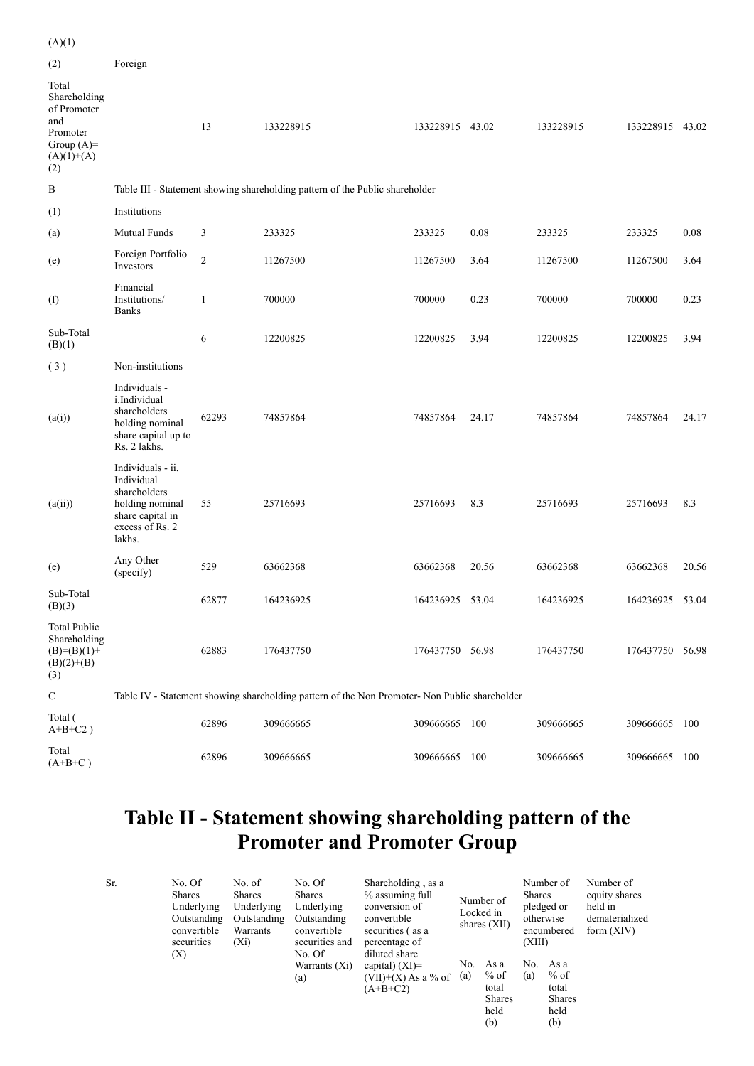| (A)(1)                                                                                         |                                                                                                                     |                |                                                                                               |                 |       |           |                 |       |
|------------------------------------------------------------------------------------------------|---------------------------------------------------------------------------------------------------------------------|----------------|-----------------------------------------------------------------------------------------------|-----------------|-------|-----------|-----------------|-------|
| (2)                                                                                            | Foreign                                                                                                             |                |                                                                                               |                 |       |           |                 |       |
| Total<br>Shareholding<br>of Promoter<br>and<br>Promoter<br>Group $(A)=$<br>$(A)(1)+(A)$<br>(2) |                                                                                                                     | 13             | 133228915                                                                                     | 133228915 43.02 |       | 133228915 | 133228915 43.02 |       |
| B                                                                                              |                                                                                                                     |                | Table III - Statement showing shareholding pattern of the Public shareholder                  |                 |       |           |                 |       |
| (1)                                                                                            | Institutions                                                                                                        |                |                                                                                               |                 |       |           |                 |       |
| (a)                                                                                            | Mutual Funds                                                                                                        | 3              | 233325                                                                                        | 233325          | 0.08  | 233325    | 233325          | 0.08  |
| (e)                                                                                            | Foreign Portfolio<br>Investors                                                                                      | $\overline{2}$ | 11267500                                                                                      | 11267500        | 3.64  | 11267500  | 11267500        | 3.64  |
| (f)                                                                                            | Financial<br>Institutions/<br><b>Banks</b>                                                                          | $\mathbf{1}$   | 700000                                                                                        | 700000          | 0.23  | 700000    | 700000          | 0.23  |
| Sub-Total<br>(B)(1)                                                                            |                                                                                                                     | 6              | 12200825                                                                                      | 12200825        | 3.94  | 12200825  | 12200825        | 3.94  |
| (3)                                                                                            | Non-institutions                                                                                                    |                |                                                                                               |                 |       |           |                 |       |
| (a(i))                                                                                         | Individuals -<br>i.Individual<br>shareholders<br>holding nominal<br>share capital up to<br>Rs. 2 lakhs.             | 62293          | 74857864                                                                                      | 74857864        | 24.17 | 74857864  | 74857864        | 24.17 |
| (a(ii))                                                                                        | Individuals - ii.<br>Individual<br>shareholders<br>holding nominal<br>share capital in<br>excess of Rs. 2<br>lakhs. | 55             | 25716693                                                                                      | 25716693        | 8.3   | 25716693  | 25716693        | 8.3   |
| (e)                                                                                            | Any Other<br>(specify)                                                                                              | 529            | 63662368                                                                                      | 63662368        | 20.56 | 63662368  | 63662368        | 20.56 |
| Sub-Total<br>(B)(3)                                                                            |                                                                                                                     | 62877          | 164236925                                                                                     | 164236925 53.04 |       | 164236925 | 164236925 53.04 |       |
| <b>Total Public</b><br>Shareholding<br>$(B)=(B)(1)+$<br>$(B)(2)+(B)$<br>(3)                    |                                                                                                                     | 62883          | 176437750                                                                                     | 176437750 56.98 |       | 176437750 | 176437750 56.98 |       |
| ${\bf C}$                                                                                      |                                                                                                                     |                | Table IV - Statement showing shareholding pattern of the Non Promoter- Non Public shareholder |                 |       |           |                 |       |
| Total (<br>$A+B+C2$ )                                                                          |                                                                                                                     | 62896          | 309666665                                                                                     | 309666665 100   |       | 309666665 | 309666665 100   |       |
| Total<br>$(A+B+C)$                                                                             |                                                                                                                     | 62896          | 309666665                                                                                     | 309666665 100   |       | 309666665 | 309666665       | 100   |

#### **Table II - Statement showing shareholding pattern of the Promoter and Promoter Group**

| Sr. | No. Of<br>Shares<br>Underlying<br>Outstanding<br>convertible<br>securities<br>(X) | No. of<br><b>Shares</b><br>Underlying<br>Outstanding<br>Warrants<br>$(X_i)$ | No. Of<br>Shares<br>Underlying<br>Outstanding<br>convertible<br>securities and<br>No. Of<br>Warrants $(Xi)$<br>(a) | Shareholding, as a<br>% assuming full<br>conversion of<br>convertible<br>securities (as a<br>percentage of<br>diluted share<br>capital) $(XI)=$<br>$(VII)+(X)$ As a % of<br>$(A+B+C2)$ | No.<br>(a) | Number of<br>Locked in<br>shares $(XII)$<br>As a<br>$%$ of<br>total<br>Shares<br>held | Shares<br>otherwise<br>(XIII)<br>No.<br>(a) | Number of<br>pledged or<br>encumbered<br>As a<br>% of<br>total<br>Shares<br>held | Number of<br>equity shares<br>held in<br>dematerialized<br>form $(XIV)$ |
|-----|-----------------------------------------------------------------------------------|-----------------------------------------------------------------------------|--------------------------------------------------------------------------------------------------------------------|----------------------------------------------------------------------------------------------------------------------------------------------------------------------------------------|------------|---------------------------------------------------------------------------------------|---------------------------------------------|----------------------------------------------------------------------------------|-------------------------------------------------------------------------|
|     |                                                                                   |                                                                             |                                                                                                                    |                                                                                                                                                                                        |            | (b)                                                                                   |                                             | (b)                                                                              |                                                                         |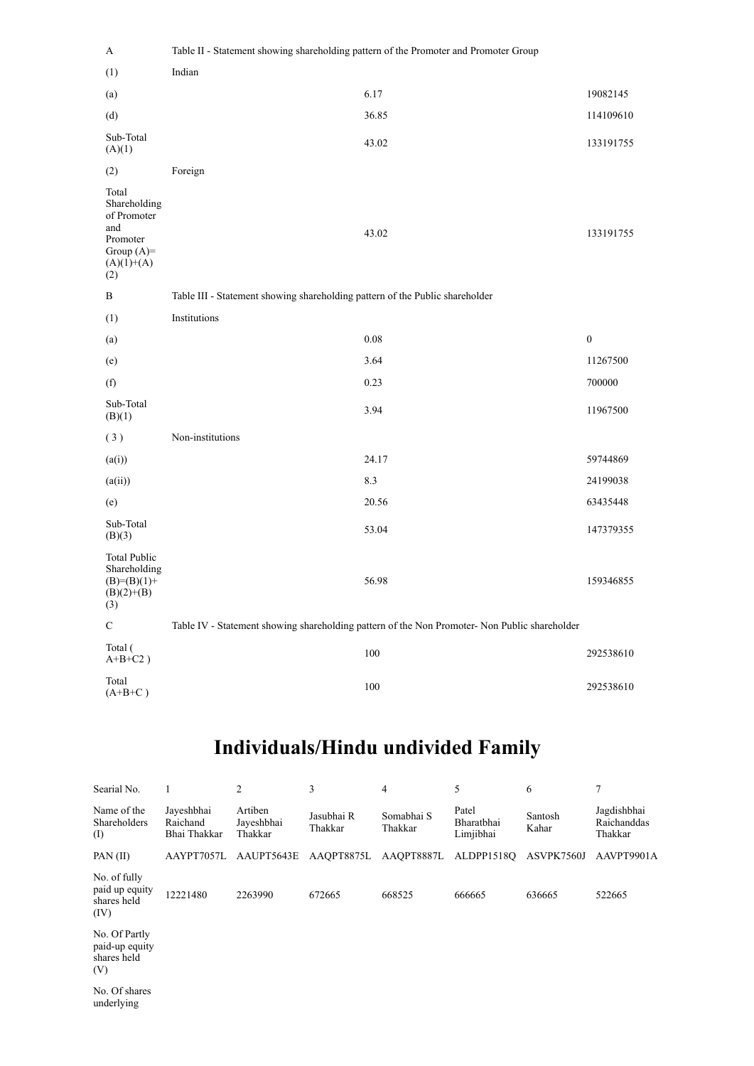| A                                                                                              | Table II - Statement showing shareholding pattern of the Promoter and Promoter Group          |                  |
|------------------------------------------------------------------------------------------------|-----------------------------------------------------------------------------------------------|------------------|
| (1)                                                                                            | Indian                                                                                        |                  |
| (a)                                                                                            | 6.17                                                                                          | 19082145         |
| (d)                                                                                            | 36.85                                                                                         | 114109610        |
| Sub-Total<br>(A)(1)                                                                            | 43.02                                                                                         | 133191755        |
| (2)                                                                                            | Foreign                                                                                       |                  |
| Total<br>Shareholding<br>of Promoter<br>and<br>Promoter<br>Group $(A)=$<br>$(A)(1)+(A)$<br>(2) | 43.02                                                                                         | 133191755        |
| B                                                                                              | Table III - Statement showing shareholding pattern of the Public shareholder                  |                  |
| (1)                                                                                            | Institutions                                                                                  |                  |
| (a)                                                                                            | 0.08                                                                                          | $\boldsymbol{0}$ |
| (e)                                                                                            | 3.64                                                                                          | 11267500         |
| (f)                                                                                            | 0.23                                                                                          | 700000           |
| Sub-Total<br>(B)(1)                                                                            | 3.94                                                                                          | 11967500         |
| (3)                                                                                            | Non-institutions                                                                              |                  |
| (a(i))                                                                                         | 24.17                                                                                         | 59744869         |
| (a(ii))                                                                                        | 8.3                                                                                           | 24199038         |
| (e)                                                                                            | 20.56                                                                                         | 63435448         |
| Sub-Total<br>(B)(3)                                                                            | 53.04                                                                                         | 147379355        |
| <b>Total Public</b><br>Shareholding<br>$(B)=(B)(1)+$<br>$(B)(2)+(B)$<br>(3)                    | 56.98                                                                                         | 159346855        |
| $\mathbf C$                                                                                    | Table IV - Statement showing shareholding pattern of the Non Promoter- Non Public shareholder |                  |
| Total (<br>$A+B+C2$ )                                                                          | 100                                                                                           | 292538610        |
| Total<br>$(A+B+C)$                                                                             | 100                                                                                           | 292538610        |

# **Individuals/Hindu undivided Family**

| Searial No.                                           |                                        | 2                                | 3                     | 4                     | 5                                | 6                | 7                                     |
|-------------------------------------------------------|----------------------------------------|----------------------------------|-----------------------|-----------------------|----------------------------------|------------------|---------------------------------------|
| Name of the<br>Shareholders<br>(I)                    | Jayeshbhai<br>Raichand<br>Bhai Thakkar | Artiben<br>Jayeshbhai<br>Thakkar | Jasubhai R<br>Thakkar | Somabhai S<br>Thakkar | Patel<br>Bharatbhai<br>Limjibhai | Santosh<br>Kahar | Jagdishbhai<br>Raichanddas<br>Thakkar |
| PAN(II)                                               | AAYPT7057L                             | AAUPT5643E                       | AAQPT8875L            | AAQPT8887L ALDPP1518Q |                                  | ASVPK7560J       | AAVPT9901A                            |
| No. of fully<br>paid up equity<br>shares held<br>(IV) | 12221480                               | 2263990                          | 672665                | 668525                | 666665                           | 636665           | 522665                                |
| No. Of Partly<br>paid-up equity<br>shares held<br>(V) |                                        |                                  |                       |                       |                                  |                  |                                       |
| No. Of shares                                         |                                        |                                  |                       |                       |                                  |                  |                                       |

underlying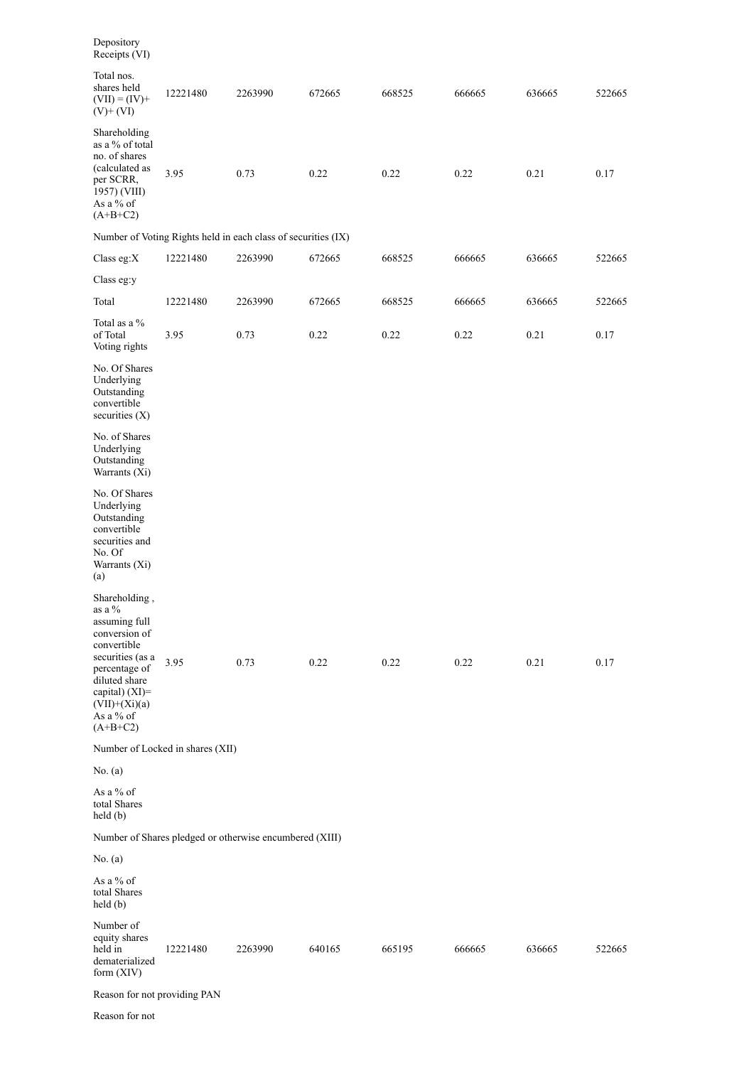| Depository<br>Receipts (VI)                                                                                                                                                                    |                                  |                                                               |        |        |        |        |        |
|------------------------------------------------------------------------------------------------------------------------------------------------------------------------------------------------|----------------------------------|---------------------------------------------------------------|--------|--------|--------|--------|--------|
| Total nos.<br>shares held<br>$(VII) = (IV) +$<br>$(V)$ + $(VI)$                                                                                                                                | 12221480                         | 2263990                                                       | 672665 | 668525 | 666665 | 636665 | 522665 |
| Shareholding<br>as a % of total<br>no. of shares<br>(calculated as<br>per SCRR,<br>1957) (VIII)<br>As a % of<br>$(A+B+C2)$                                                                     | 3.95                             | 0.73                                                          | 0.22   | 0.22   | 0.22   | 0.21   | 0.17   |
|                                                                                                                                                                                                |                                  | Number of Voting Rights held in each class of securities (IX) |        |        |        |        |        |
| Class eg: $X$                                                                                                                                                                                  | 12221480                         | 2263990                                                       | 672665 | 668525 | 666665 | 636665 | 522665 |
| Class eg:y                                                                                                                                                                                     |                                  |                                                               |        |        |        |        |        |
| Total                                                                                                                                                                                          | 12221480                         | 2263990                                                       | 672665 | 668525 | 666665 | 636665 | 522665 |
| Total as a %<br>of Total<br>Voting rights                                                                                                                                                      | 3.95                             | 0.73                                                          | 0.22   | 0.22   | 0.22   | 0.21   | 0.17   |
| No. Of Shares<br>Underlying<br>Outstanding<br>convertible<br>securities $(X)$                                                                                                                  |                                  |                                                               |        |        |        |        |        |
| No. of Shares<br>Underlying<br>Outstanding<br>Warrants (Xi)                                                                                                                                    |                                  |                                                               |        |        |        |        |        |
| No. Of Shares<br>Underlying<br>Outstanding<br>convertible<br>securities and<br>No. Of<br>Warrants (Xi)<br>(a)                                                                                  |                                  |                                                               |        |        |        |        |        |
| Shareholding,<br>as a %<br>assuming full<br>conversion of<br>convertible<br>securities (as a<br>percentage of<br>diluted share<br>capital) (XI)=<br>$(VII)+(Xi)(a)$<br>As a % of<br>$(A+B+C2)$ | 3.95                             | 0.73                                                          | 0.22   | 0.22   | 0.22   | 0.21   | 0.17   |
|                                                                                                                                                                                                | Number of Locked in shares (XII) |                                                               |        |        |        |        |        |
| No. (a)                                                                                                                                                                                        |                                  |                                                               |        |        |        |        |        |
| As a % of<br>total Shares<br>$\text{held}(\text{b})$                                                                                                                                           |                                  |                                                               |        |        |        |        |        |
|                                                                                                                                                                                                |                                  | Number of Shares pledged or otherwise encumbered (XIII)       |        |        |        |        |        |
| No. (a)                                                                                                                                                                                        |                                  |                                                               |        |        |        |        |        |
| As a % of<br>total Shares<br>$\text{held}(\text{b})$                                                                                                                                           |                                  |                                                               |        |        |        |        |        |
| Number of<br>equity shares<br>held in<br>dematerialized<br>form $(XIV)$                                                                                                                        | 12221480                         | 2263990                                                       | 640165 | 665195 | 666665 | 636665 | 522665 |
| Reason for not providing PAN                                                                                                                                                                   |                                  |                                                               |        |        |        |        |        |
| Reason for not                                                                                                                                                                                 |                                  |                                                               |        |        |        |        |        |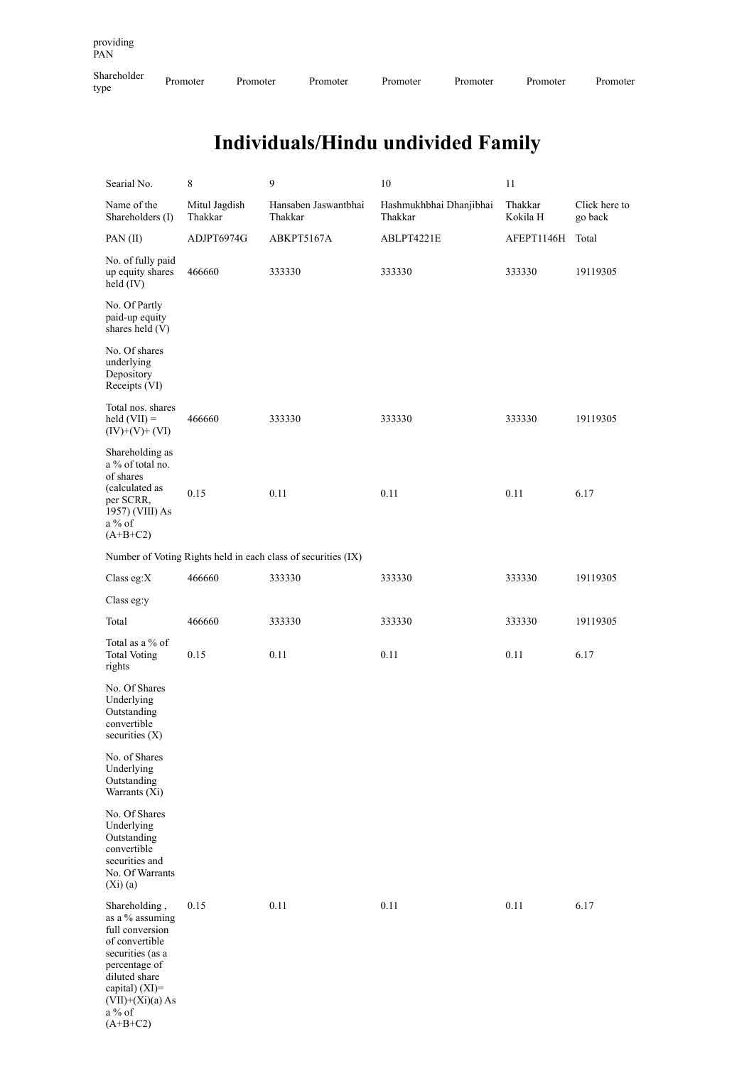Shareholder

# **Individuals/Hindu undivided Family**

| Searial No.                                                                                                                                                                                 | 8                        | 9                                                             | 10                                 | 11                  |                          |
|---------------------------------------------------------------------------------------------------------------------------------------------------------------------------------------------|--------------------------|---------------------------------------------------------------|------------------------------------|---------------------|--------------------------|
| Name of the<br>Shareholders (I)                                                                                                                                                             | Mitul Jagdish<br>Thakkar | Hansaben Jaswantbhai<br>Thakkar                               | Hashmukhbhai Dhanjibhai<br>Thakkar | Thakkar<br>Kokila H | Click here to<br>go back |
| PAN $(II)$                                                                                                                                                                                  | ADJPT6974G               | ABKPT5167A                                                    | ABLPT4221E                         | AFEPT1146H          | Total                    |
| No. of fully paid<br>up equity shares<br>held (IV)                                                                                                                                          | 466660                   | 333330                                                        | 333330                             | 333330              | 19119305                 |
| No. Of Partly<br>paid-up equity<br>shares held (V)                                                                                                                                          |                          |                                                               |                                    |                     |                          |
| No. Of shares<br>underlying<br>Depository<br>Receipts (VI)                                                                                                                                  |                          |                                                               |                                    |                     |                          |
| Total nos. shares<br>held $(VII)$ =<br>$(IV)+(V)+(VI)$                                                                                                                                      | 466660                   | 333330                                                        | 333330                             | 333330              | 19119305                 |
| Shareholding as<br>a % of total no.<br>of shares<br>(calculated as<br>per SCRR,<br>1957) (VIII) As<br>a % of<br>$(A+B+C2)$                                                                  | 0.15                     | 0.11                                                          | 0.11                               | 0.11                | 6.17                     |
|                                                                                                                                                                                             |                          | Number of Voting Rights held in each class of securities (IX) |                                    |                     |                          |
| Class eg:X                                                                                                                                                                                  | 466660                   | 333330                                                        | 333330                             | 333330              | 19119305                 |
| Class eg:y                                                                                                                                                                                  |                          |                                                               |                                    |                     |                          |
| Total                                                                                                                                                                                       | 466660                   | 333330                                                        | 333330                             | 333330              | 19119305                 |
| Total as a % of<br><b>Total Voting</b><br>rights                                                                                                                                            | 0.15                     | 0.11                                                          | 0.11                               | 0.11                | 6.17                     |
| No. Of Shares<br>Underlying<br>Outstanding<br>convertible<br>securities $(X)$                                                                                                               |                          |                                                               |                                    |                     |                          |
| No. of Shares<br>Underlying<br>Outstanding<br>Warrants (Xi)                                                                                                                                 |                          |                                                               |                                    |                     |                          |
| No. Of Shares<br>Underlying<br>Outstanding<br>convertible<br>securities and<br>No. Of Warrants<br>(Xi)(a)                                                                                   |                          |                                                               |                                    |                     |                          |
| Shareholding,<br>as a % assuming<br>full conversion<br>of convertible<br>securities (as a<br>percentage of<br>diluted share<br>capital) (XI)=<br>$(VII)+(Xi)(a) As$<br>a % of<br>$(A+B+C2)$ | 0.15                     | 0.11                                                          | 0.11                               | 0.11                | 6.17                     |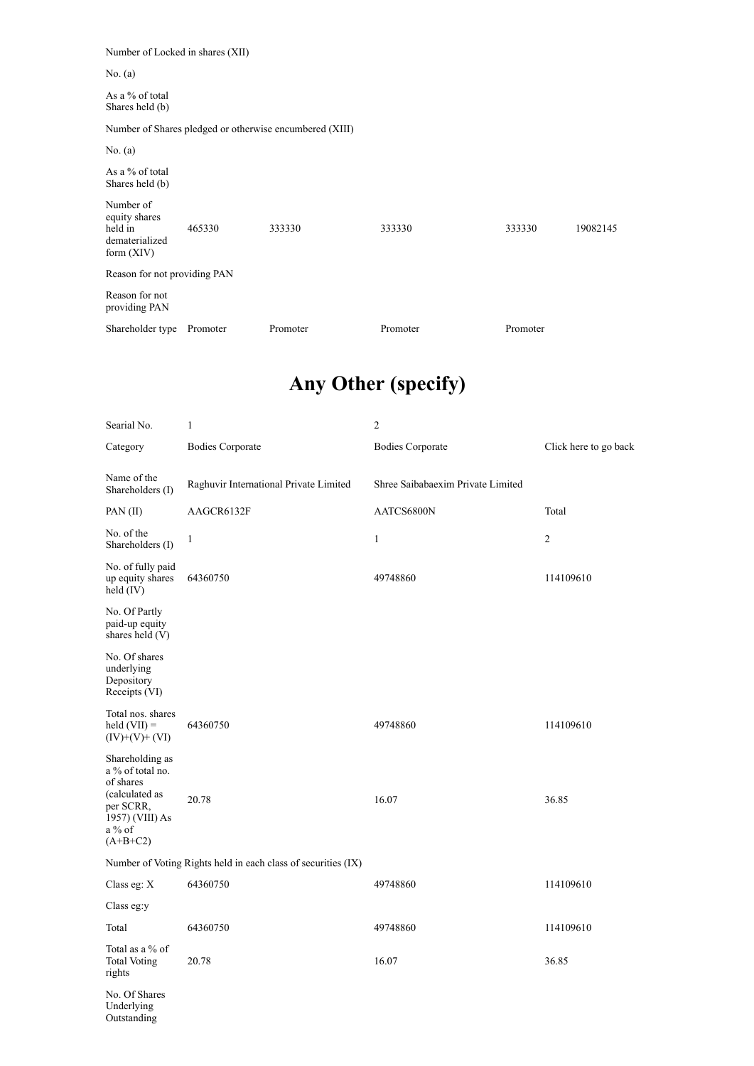Number of Locked in shares (XII)

No. (a)

As a % of total Shares held (b)

Number of Shares pledged or otherwise encumbered (XIII)

No. (a)

As a % of total Shares held (b)

| Number of<br>equity shares<br>held in<br>dematerialized<br>form $(XIV)$ | 465330   | 333330   | 333330   | 333330<br>19082145 |
|-------------------------------------------------------------------------|----------|----------|----------|--------------------|
| Reason for not providing PAN                                            |          |          |          |                    |
| Reason for not<br>providing PAN                                         |          |          |          |                    |
| Shareholder type                                                        | Promoter | Promoter | Promoter | Promoter           |

## **Any Other (specify)**

| Searial No.                                                                                                                  | $\mathbf{1}$                                                  | $\overline{c}$                    |                       |
|------------------------------------------------------------------------------------------------------------------------------|---------------------------------------------------------------|-----------------------------------|-----------------------|
| Category                                                                                                                     | <b>Bodies Corporate</b>                                       | <b>Bodies Corporate</b>           | Click here to go back |
| Name of the<br>Shareholders (I)                                                                                              | Raghuvir International Private Limited                        | Shree Saibabaexim Private Limited |                       |
| PAN(II)                                                                                                                      | AAGCR6132F                                                    | AATCS6800N                        | Total                 |
| No. of the<br>Shareholders (I)                                                                                               | $\mathbf{1}$                                                  | $\mathbf{1}$                      | $\overline{c}$        |
| No. of fully paid<br>up equity shares<br>held (IV)                                                                           | 64360750                                                      | 49748860                          | 114109610             |
| No. Of Partly<br>paid-up equity<br>shares held $(V)$                                                                         |                                                               |                                   |                       |
| No. Of shares<br>underlying<br>Depository<br>Receipts (VI)                                                                   |                                                               |                                   |                       |
| Total nos. shares<br>$\text{held (VII)} =$<br>$(IV)+(V)+(VI)$                                                                | 64360750                                                      | 49748860                          | 114109610             |
| Shareholding as<br>a % of total no.<br>of shares<br>(calculated as<br>per SCRR,<br>1957) (VIII) As<br>$a\%$ of<br>$(A+B+C2)$ | 20.78                                                         | 16.07                             | 36.85                 |
|                                                                                                                              | Number of Voting Rights held in each class of securities (IX) |                                   |                       |
| Class eg: X                                                                                                                  | 64360750                                                      | 49748860                          | 114109610             |
| Class eg:y                                                                                                                   |                                                               |                                   |                       |
| Total                                                                                                                        | 64360750                                                      | 49748860                          | 114109610             |
| Total as a % of<br><b>Total Voting</b><br>rights                                                                             | 20.78                                                         | 16.07                             | 36.85                 |
| No. Of Shares<br>Underlying<br>Outstanding                                                                                   |                                                               |                                   |                       |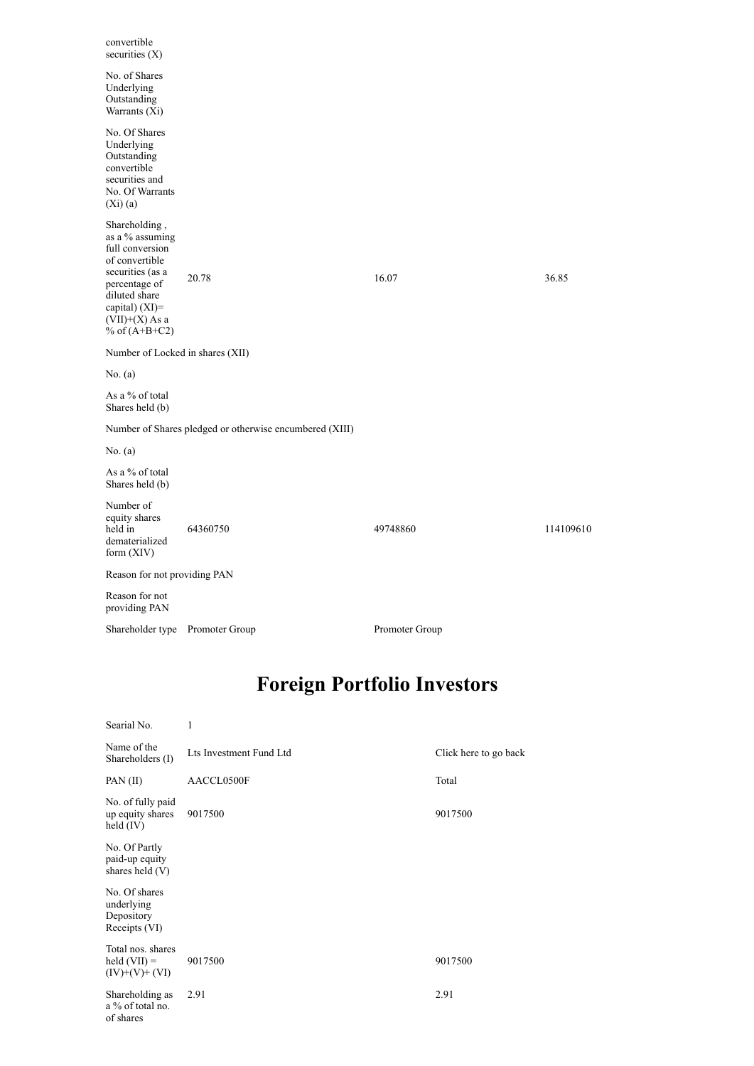| convertible<br>securities (X)                                                                                                                                                      |                                                         |                                    |           |
|------------------------------------------------------------------------------------------------------------------------------------------------------------------------------------|---------------------------------------------------------|------------------------------------|-----------|
| No. of Shares<br>Underlying<br>Outstanding<br>Warrants (Xi)                                                                                                                        |                                                         |                                    |           |
| No. Of Shares<br>Underlying<br>Outstanding<br>convertible<br>securities and<br>No. Of Warrants<br>$(Xi)$ (a)                                                                       |                                                         |                                    |           |
| Shareholding,<br>as a % assuming<br>full conversion<br>of convertible<br>securities (as a<br>percentage of<br>diluted share<br>capital) (XI)=<br>(VII)+(X) As a<br>% of $(A+B+C2)$ | 20.78                                                   | 16.07                              | 36.85     |
| Number of Locked in shares (XII)                                                                                                                                                   |                                                         |                                    |           |
| No. (a)                                                                                                                                                                            |                                                         |                                    |           |
| As a % of total<br>Shares held (b)                                                                                                                                                 |                                                         |                                    |           |
|                                                                                                                                                                                    | Number of Shares pledged or otherwise encumbered (XIII) |                                    |           |
| No. (a)                                                                                                                                                                            |                                                         |                                    |           |
| As a % of total<br>Shares held (b)                                                                                                                                                 |                                                         |                                    |           |
| Number of<br>equity shares<br>held in<br>dematerialized<br>form (XIV)                                                                                                              | 64360750                                                | 49748860                           | 114109610 |
| Reason for not providing PAN                                                                                                                                                       |                                                         |                                    |           |
| Reason for not<br>providing PAN                                                                                                                                                    |                                                         |                                    |           |
| Shareholder type Promoter Group                                                                                                                                                    |                                                         | Promoter Group                     |           |
|                                                                                                                                                                                    |                                                         | <b>Foreign Portfolio Investors</b> |           |
| Searial No.                                                                                                                                                                        | 1                                                       |                                    |           |

| .                                                             |                         |                       |
|---------------------------------------------------------------|-------------------------|-----------------------|
| Name of the<br>Shareholders (I)                               | Lts Investment Fund Ltd | Click here to go back |
| PAN (II)                                                      | AACCL0500F              | Total                 |
| No. of fully paid<br>up equity shares<br>held (IV)            | 9017500                 | 9017500               |
| No. Of Partly<br>paid-up equity<br>shares held (V)            |                         |                       |
| No. Of shares<br>underlying<br>Depository<br>Receipts (VI)    |                         |                       |
| Total nos. shares<br>$\text{held (VII)} =$<br>$(IV)+(V)+(VI)$ | 9017500                 | 9017500               |
| Shareholding as<br>a % of total no.<br>of shares              | 2.91                    | 2.91                  |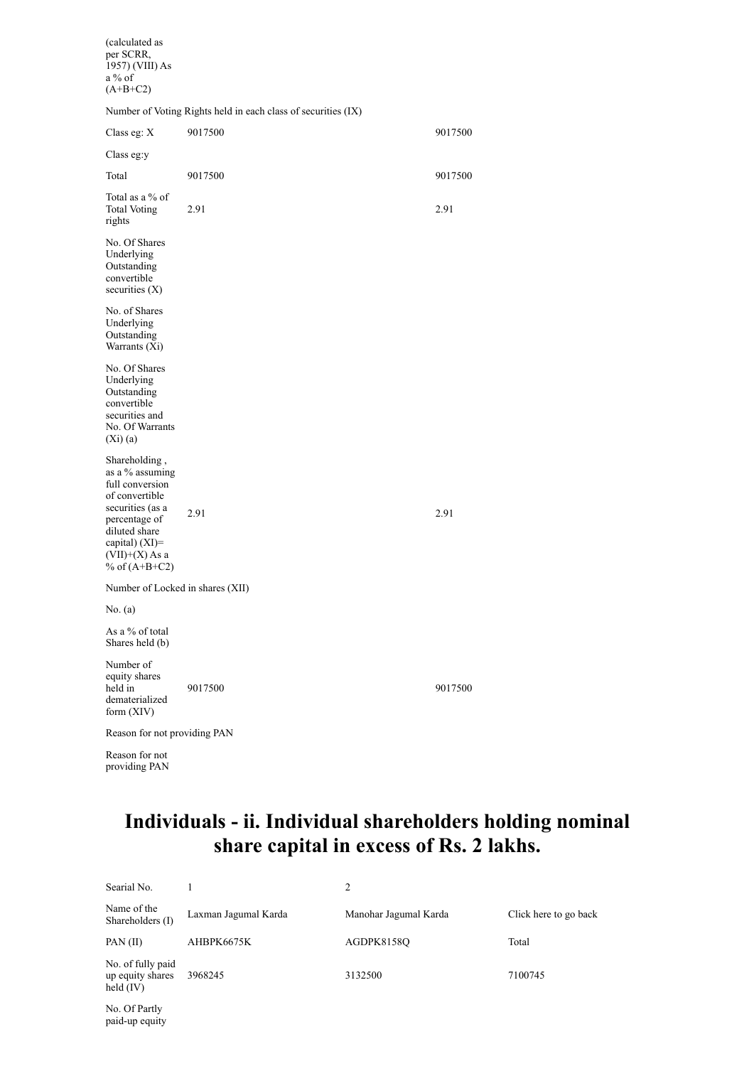(calculated as per SCRR, 1957) (VIII) As a % of

| $(A+B+C2)$                                                                                                                                                                              |                                                               |         |
|-----------------------------------------------------------------------------------------------------------------------------------------------------------------------------------------|---------------------------------------------------------------|---------|
|                                                                                                                                                                                         | Number of Voting Rights held in each class of securities (IX) |         |
| Class eg: $X$                                                                                                                                                                           | 9017500                                                       | 9017500 |
| Class eg:y                                                                                                                                                                              |                                                               |         |
| Total                                                                                                                                                                                   | 9017500                                                       | 9017500 |
| Total as a % of<br><b>Total Voting</b><br>rights                                                                                                                                        | 2.91                                                          | 2.91    |
| No. Of Shares<br>Underlying<br>Outstanding<br>convertible<br>securities $(X)$                                                                                                           |                                                               |         |
| No. of Shares<br>Underlying<br>Outstanding<br>Warrants (Xi)                                                                                                                             |                                                               |         |
| No. Of Shares<br>Underlying<br>Outstanding<br>convertible<br>securities and<br>No. Of Warrants<br>$(X_i)(a)$                                                                            |                                                               |         |
| Shareholding,<br>as a % assuming<br>full conversion<br>of convertible<br>securities (as a<br>percentage of<br>diluted share<br>capital) $(XI)$ =<br>$(VII)+(X)$ As a<br>% of $(A+B+C2)$ | 2.91                                                          | 2.91    |
| Number of Locked in shares (XII)                                                                                                                                                        |                                                               |         |
| No. (a)                                                                                                                                                                                 |                                                               |         |
| As a % of total<br>Shares held (b)                                                                                                                                                      |                                                               |         |
| Number of<br>equity shares<br>held in<br>dematerialized<br>form (XIV)                                                                                                                   | 9017500                                                       | 9017500 |
| Reason for not providing PAN                                                                                                                                                            |                                                               |         |

**Individuals - ii. Individual shareholders holding nominal share capital in excess of Rs. 2 lakhs.**

| Searial No.                                          |                      |                       |                       |
|------------------------------------------------------|----------------------|-----------------------|-----------------------|
| Name of the<br>Shareholders (I)                      | Laxman Jagumal Karda | Manohar Jagumal Karda | Click here to go back |
| PAN(II)                                              | AHBPK6675K           | AGDPK8158O            | Total                 |
| No. of fully paid<br>up equity shares<br>held $(IV)$ | 3968245              | 3132500               | 7100745               |

No. Of Partly paid-up equity

Reason for not providing PAN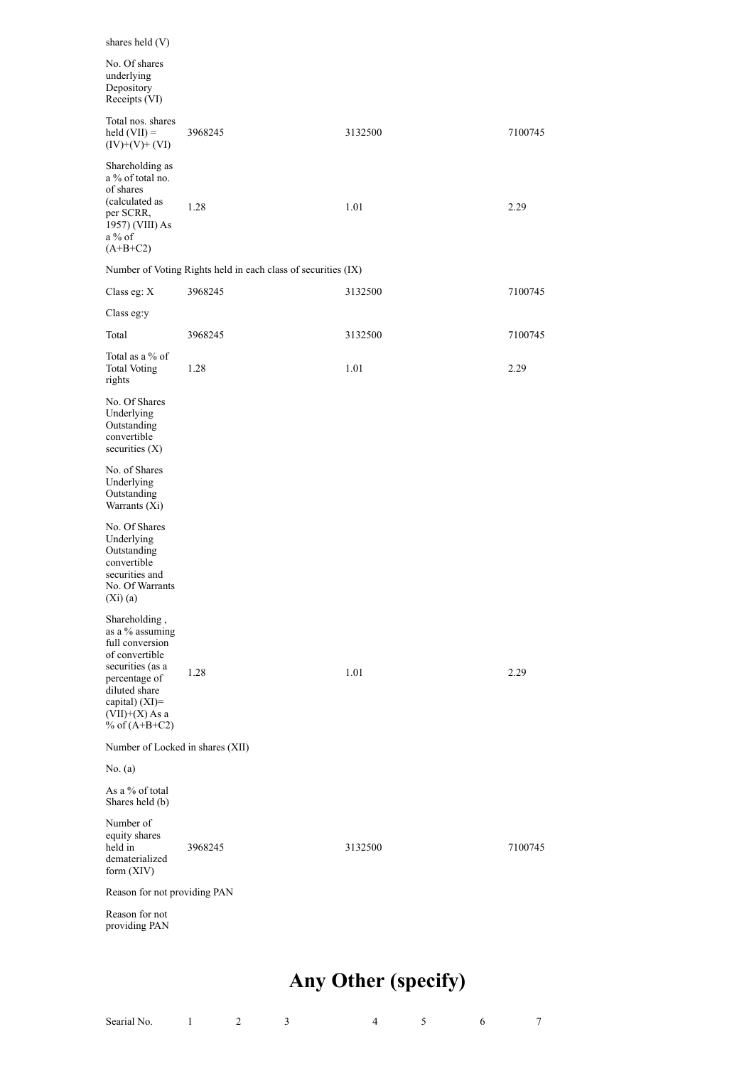| shares held (V)                                                                                                                                                                        |                                                               |         |         |
|----------------------------------------------------------------------------------------------------------------------------------------------------------------------------------------|---------------------------------------------------------------|---------|---------|
| No. Of shares<br>underlying<br>Depository<br>Receipts (VI)                                                                                                                             |                                                               |         |         |
| Total nos. shares<br>$\text{held (VII)} =$<br>$(IV)+(V)+(VI)$                                                                                                                          | 3968245                                                       | 3132500 | 7100745 |
| Shareholding as<br>a % of total no.<br>of shares<br>(calculated as<br>per SCRR,<br>1957) (VIII) As<br>$a\%$ of<br>$(A+B+C2)$                                                           | 1.28                                                          | 1.01    | 2.29    |
|                                                                                                                                                                                        | Number of Voting Rights held in each class of securities (IX) |         |         |
| Class eg: X                                                                                                                                                                            | 3968245                                                       | 3132500 | 7100745 |
| Class eg:y                                                                                                                                                                             |                                                               |         |         |
| Total                                                                                                                                                                                  | 3968245                                                       | 3132500 | 7100745 |
| Total as a % of<br><b>Total Voting</b><br>rights                                                                                                                                       | 1.28                                                          | 1.01    | 2.29    |
| No. Of Shares<br>Underlying<br>Outstanding<br>convertible<br>securities $(X)$                                                                                                          |                                                               |         |         |
| No. of Shares<br>Underlying<br>Outstanding<br>Warrants (Xi)                                                                                                                            |                                                               |         |         |
| No. Of Shares<br>Underlying<br>Outstanding<br>convertible<br>securities and<br>No. Of Warrants<br>$(Xi)$ (a)                                                                           |                                                               |         |         |
| Shareholding,<br>as a % assuming<br>full conversion<br>of convertible<br>securities (as a<br>percentage of<br>diluted share<br>capital) $(XI)=$<br>$(VII)+(X)$ As a<br>% of $(A+B+C2)$ | 1.28                                                          | 1.01    | 2.29    |
| Number of Locked in shares (XII)                                                                                                                                                       |                                                               |         |         |
| No. (a)                                                                                                                                                                                |                                                               |         |         |
| As a % of total<br>Shares held (b)                                                                                                                                                     |                                                               |         |         |
| Number of<br>equity shares<br>held in<br>dematerialized<br>form (XIV)                                                                                                                  | 3968245                                                       | 3132500 | 7100745 |
| Reason for not providing PAN                                                                                                                                                           |                                                               |         |         |
| Reason for not<br>providing PAN                                                                                                                                                        |                                                               |         |         |

# **Any Other (specify)**

| Searial No. |  |  |  |  |
|-------------|--|--|--|--|
|             |  |  |  |  |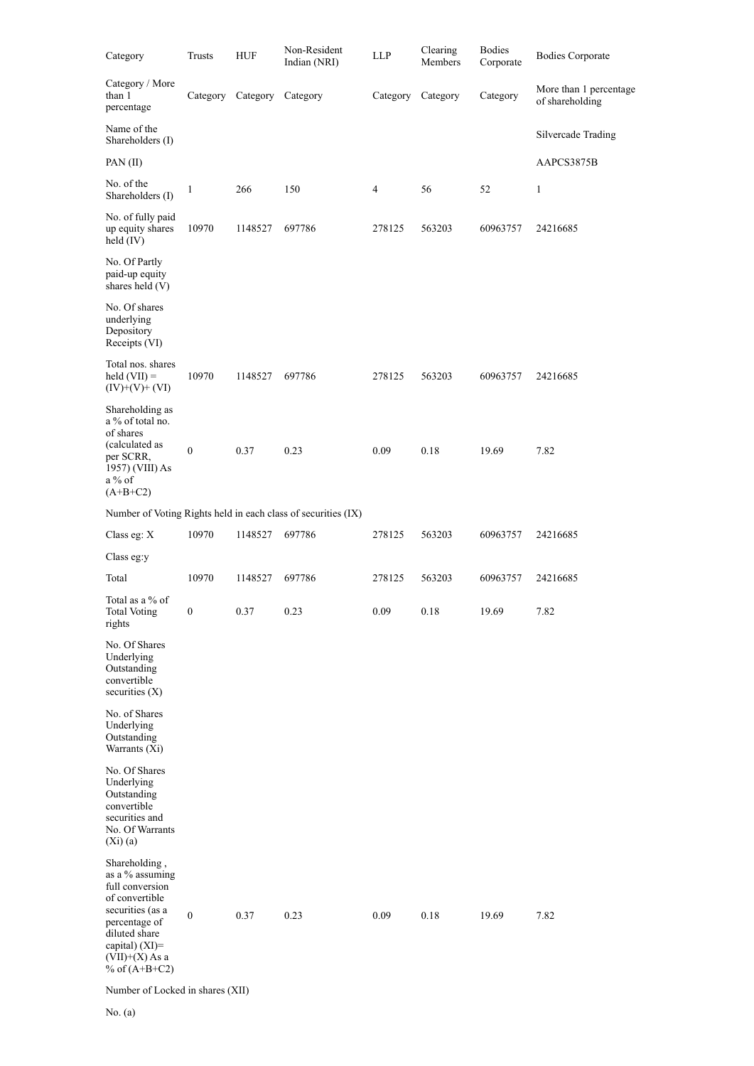| Category                                                                                                                                                                               | Trusts           | HUF      | Non-Resident<br>Indian (NRI)                                  | ${\rm LLP}$ | Clearing<br>Members | <b>Bodies</b><br>Corporate | <b>Bodies Corporate</b>                   |
|----------------------------------------------------------------------------------------------------------------------------------------------------------------------------------------|------------------|----------|---------------------------------------------------------------|-------------|---------------------|----------------------------|-------------------------------------------|
| Category / More<br>than 1<br>percentage                                                                                                                                                | Category         | Category | Category                                                      | Category    | Category            | Category                   | More than 1 percentage<br>of shareholding |
| Name of the<br>Shareholders (I)                                                                                                                                                        |                  |          |                                                               |             |                     |                            | Silvercade Trading                        |
| PAN (II)                                                                                                                                                                               |                  |          |                                                               |             |                     |                            | AAPCS3875B                                |
| No. of the<br>Shareholders (I)                                                                                                                                                         | 1                | 266      | 150                                                           | 4           | 56                  | 52                         | 1                                         |
| No. of fully paid<br>up equity shares<br>held $(IV)$                                                                                                                                   | 10970            | 1148527  | 697786                                                        | 278125      | 563203              | 60963757                   | 24216685                                  |
| No. Of Partly<br>paid-up equity<br>shares held (V)                                                                                                                                     |                  |          |                                                               |             |                     |                            |                                           |
| No. Of shares<br>underlying<br>Depository<br>Receipts (VI)                                                                                                                             |                  |          |                                                               |             |                     |                            |                                           |
| Total nos. shares<br>$\text{held (VII)} =$<br>$(IV)+(V)+(VI)$                                                                                                                          | 10970            | 1148527  | 697786                                                        | 278125      | 563203              | 60963757                   | 24216685                                  |
| Shareholding as<br>a % of total no.<br>of shares<br>(calculated as<br>per SCRR,<br>1957) (VIII) As<br>$a\%$ of<br>$(A+B+C2)$                                                           | $\boldsymbol{0}$ | 0.37     | 0.23                                                          | 0.09        | 0.18                | 19.69                      | 7.82                                      |
|                                                                                                                                                                                        |                  |          | Number of Voting Rights held in each class of securities (IX) |             |                     |                            |                                           |
| Class eg: X                                                                                                                                                                            | 10970            | 1148527  | 697786                                                        | 278125      | 563203              | 60963757                   | 24216685                                  |
| Class eg:y                                                                                                                                                                             |                  |          |                                                               |             |                     |                            |                                           |
| Total                                                                                                                                                                                  | 10970            | 1148527  | 697786                                                        | 278125      | 563203              | 60963757                   | 24216685                                  |
| Total as a % of<br><b>Total Voting</b><br>rights                                                                                                                                       | $\boldsymbol{0}$ | 0.37     | 0.23                                                          | 0.09        | 0.18                | 19.69                      | 7.82                                      |
| No. Of Shares<br>Underlying<br>Outstanding<br>convertible<br>securities $(X)$                                                                                                          |                  |          |                                                               |             |                     |                            |                                           |
| No. of Shares<br>Underlying<br>Outstanding<br>Warrants (Xi)                                                                                                                            |                  |          |                                                               |             |                     |                            |                                           |
| No. Of Shares<br>Underlying<br>Outstanding<br>convertible<br>securities and<br>No. Of Warrants<br>$(X_i)(a)$                                                                           |                  |          |                                                               |             |                     |                            |                                           |
| Shareholding,<br>as a % assuming<br>full conversion<br>of convertible<br>securities (as a<br>percentage of<br>diluted share<br>capital) $(XI)=$<br>$(VII)+(X)$ As a<br>% of $(A+B+C2)$ | $\boldsymbol{0}$ | 0.37     | 0.23                                                          | 0.09        | 0.18                | 19.69                      | 7.82                                      |

Number of Locked in shares (XII)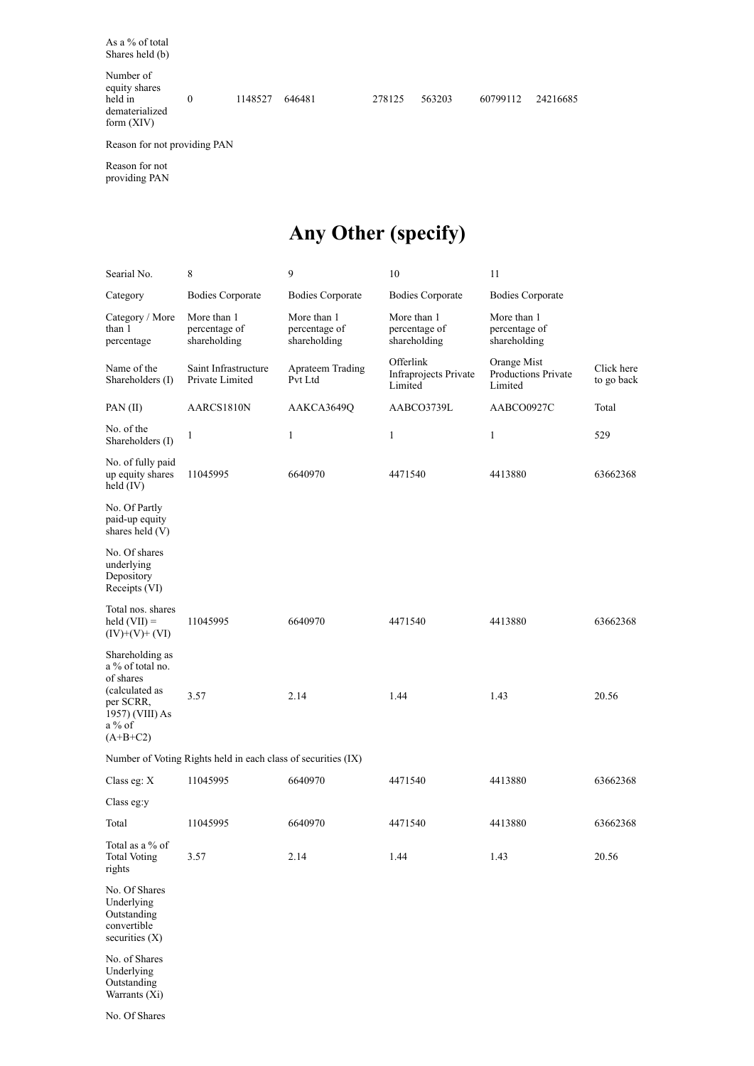As a % of total Shares held (b)

Number of equity shares held in dematerialized form (XIV)

0 1148527 646481 278125 563203 60799112 24216685

Reason for not providing PAN

Reason for not providing PAN

### **Any Other (specify)**

| Searial No.                                                                                                                  | 8                                                             | 9                                            | 10                                            | 11                                                   |                          |
|------------------------------------------------------------------------------------------------------------------------------|---------------------------------------------------------------|----------------------------------------------|-----------------------------------------------|------------------------------------------------------|--------------------------|
| Category                                                                                                                     | <b>Bodies Corporate</b>                                       | Bodies Corporate                             | <b>Bodies Corporate</b>                       | <b>Bodies Corporate</b>                              |                          |
| Category / More<br>than 1<br>percentage                                                                                      | More than 1<br>percentage of<br>shareholding                  | More than 1<br>percentage of<br>shareholding | More than 1<br>percentage of<br>shareholding  | More than 1<br>percentage of<br>shareholding         |                          |
| Name of the<br>Shareholders (I)                                                                                              | Saint Infrastructure<br>Private Limited                       | Aprateem Trading<br>Pvt Ltd                  | Offerlink<br>Infraprojects Private<br>Limited | Orange Mist<br><b>Productions Private</b><br>Limited | Click here<br>to go back |
| PAN $(II)$                                                                                                                   | AARCS1810N                                                    | AAKCA3649Q                                   | AABCO3739L                                    | AABCO0927C                                           | Total                    |
| No. of the<br>Shareholders (I)                                                                                               | 1                                                             | 1                                            | $\mathbf{1}$                                  | $\mathbf{1}$                                         | 529                      |
| No. of fully paid<br>up equity shares<br>held $(IV)$                                                                         | 11045995                                                      | 6640970                                      | 4471540                                       | 4413880                                              | 63662368                 |
| No. Of Partly<br>paid-up equity<br>shares held (V)                                                                           |                                                               |                                              |                                               |                                                      |                          |
| No. Of shares<br>underlying<br>Depository<br>Receipts (VI)                                                                   |                                                               |                                              |                                               |                                                      |                          |
| Total nos. shares<br>$held (VII) =$<br>$(IV)+(V)+(VI)$                                                                       | 11045995                                                      | 6640970                                      | 4471540                                       | 4413880                                              | 63662368                 |
| Shareholding as<br>a % of total no.<br>of shares<br>(calculated as<br>per SCRR,<br>1957) (VIII) As<br>$a\%$ of<br>$(A+B+C2)$ | 3.57                                                          | 2.14                                         | 1.44                                          | 1.43                                                 | 20.56                    |
|                                                                                                                              | Number of Voting Rights held in each class of securities (IX) |                                              |                                               |                                                      |                          |
| Class eg: $X$                                                                                                                | 11045995                                                      | 6640970                                      | 4471540                                       | 4413880                                              | 63662368                 |
| Class eg:y                                                                                                                   |                                                               |                                              |                                               |                                                      |                          |
| Total                                                                                                                        | 11045995                                                      | 6640970                                      | 4471540                                       | 4413880                                              | 63662368                 |
| Total as a % of<br><b>Total Voting</b><br>rights                                                                             | 3.57                                                          | 2.14                                         | 1.44                                          | 1.43                                                 | 20.56                    |
| No. Of Shares<br>Underlying<br>Outstanding<br>convertible<br>securities $(X)$                                                |                                                               |                                              |                                               |                                                      |                          |
| No. of Shares<br>Underlying<br>Outstanding<br>Warrants (Xi)                                                                  |                                                               |                                              |                                               |                                                      |                          |

No. Of Shares